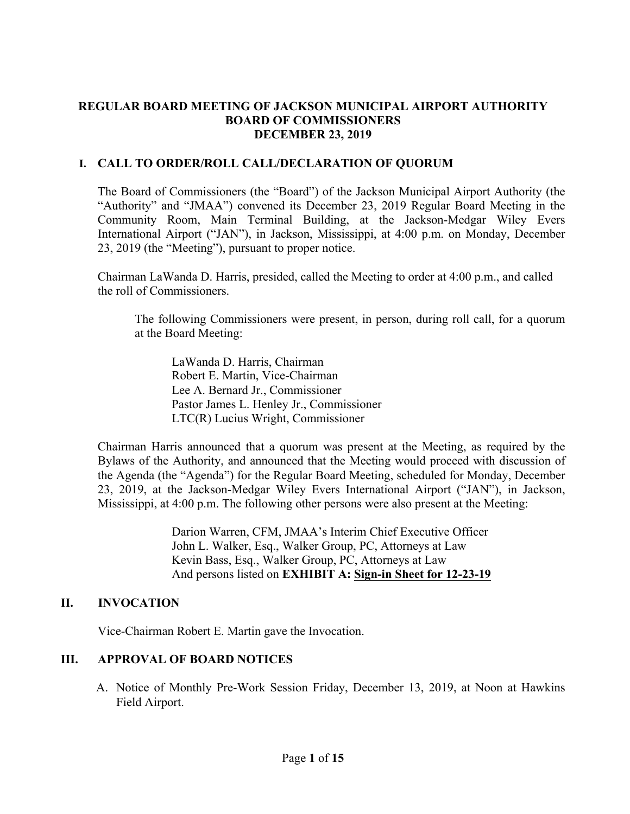## **REGULAR BOARD MEETING OF JACKSON MUNICIPAL AIRPORT AUTHORITY BOARD OF COMMISSIONERS DECEMBER 23, 2019**

# **I. CALL TO ORDER/ROLL CALL/DECLARATION OF QUORUM**

The Board of Commissioners (the "Board") of the Jackson Municipal Airport Authority (the "Authority" and "JMAA") convened its December 23, 2019 Regular Board Meeting in the Community Room, Main Terminal Building, at the Jackson-Medgar Wiley Evers International Airport ("JAN"), in Jackson, Mississippi, at 4:00 p.m. on Monday, December 23, 2019 (the "Meeting"), pursuant to proper notice.

Chairman LaWanda D. Harris, presided, called the Meeting to order at 4:00 p.m., and called the roll of Commissioners.

The following Commissioners were present, in person, during roll call, for a quorum at the Board Meeting:

LaWanda D. Harris, Chairman Robert E. Martin, Vice-Chairman Lee A. Bernard Jr., Commissioner Pastor James L. Henley Jr., Commissioner LTC(R) Lucius Wright, Commissioner

Chairman Harris announced that a quorum was present at the Meeting, as required by the Bylaws of the Authority, and announced that the Meeting would proceed with discussion of the Agenda (the "Agenda") for the Regular Board Meeting, scheduled for Monday, December 23, 2019, at the Jackson-Medgar Wiley Evers International Airport ("JAN"), in Jackson, Mississippi, at 4:00 p.m. The following other persons were also present at the Meeting:

> Darion Warren, CFM, JMAA's Interim Chief Executive Officer John L. Walker, Esq., Walker Group, PC, Attorneys at Law Kevin Bass, Esq., Walker Group, PC, Attorneys at Law And persons listed on **EXHIBIT A: Sign-in Sheet for 12-23-19**

## **II. INVOCATION**

Vice-Chairman Robert E. Martin gave the Invocation.

## **III. APPROVAL OF BOARD NOTICES**

A. Notice of Monthly Pre-Work Session Friday, December 13, 2019, at Noon at Hawkins Field Airport.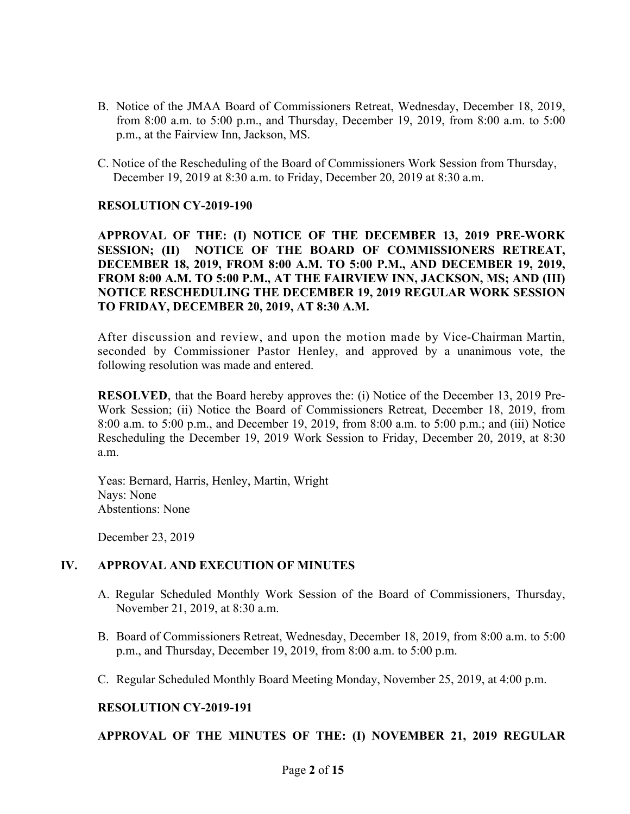- B. Notice of the JMAA Board of Commissioners Retreat, Wednesday, December 18, 2019, from 8:00 a.m. to 5:00 p.m., and Thursday, December 19, 2019, from 8:00 a.m. to 5:00 p.m., at the Fairview Inn, Jackson, MS.
- C. Notice of the Rescheduling of the Board of Commissioners Work Session from Thursday, December 19, 2019 at 8:30 a.m. to Friday, December 20, 2019 at 8:30 a.m.

#### **RESOLUTION CY-2019-190**

**APPROVAL OF THE: (I) NOTICE OF THE DECEMBER 13, 2019 PRE-WORK SESSION; (II) NOTICE OF THE BOARD OF COMMISSIONERS RETREAT, DECEMBER 18, 2019, FROM 8:00 A.M. TO 5:00 P.M., AND DECEMBER 19, 2019, FROM 8:00 A.M. TO 5:00 P.M., AT THE FAIRVIEW INN, JACKSON, MS; AND (III) NOTICE RESCHEDULING THE DECEMBER 19, 2019 REGULAR WORK SESSION TO FRIDAY, DECEMBER 20, 2019, AT 8:30 A.M.**

After discussion and review, and upon the motion made by Vice-Chairman Martin, seconded by Commissioner Pastor Henley, and approved by a unanimous vote, the following resolution was made and entered.

**RESOLVED**, that the Board hereby approves the: (i) Notice of the December 13, 2019 Pre-Work Session; (ii) Notice the Board of Commissioners Retreat, December 18, 2019, from 8:00 a.m. to 5:00 p.m., and December 19, 2019, from 8:00 a.m. to 5:00 p.m.; and (iii) Notice Rescheduling the December 19, 2019 Work Session to Friday, December 20, 2019, at 8:30 a.m.

Yeas: Bernard, Harris, Henley, Martin, Wright Nays: None Abstentions: None

December 23, 2019

## **IV. APPROVAL AND EXECUTION OF MINUTES**

- A. Regular Scheduled Monthly Work Session of the Board of Commissioners, Thursday, November 21, 2019, at 8:30 a.m.
- B. Board of Commissioners Retreat, Wednesday, December 18, 2019, from 8:00 a.m. to 5:00 p.m., and Thursday, December 19, 2019, from 8:00 a.m. to 5:00 p.m.
- C. Regular Scheduled Monthly Board Meeting Monday, November 25, 2019, at 4:00 p.m.

## **RESOLUTION CY-2019-191**

#### **APPROVAL OF THE MINUTES OF THE: (I) NOVEMBER 21, 2019 REGULAR**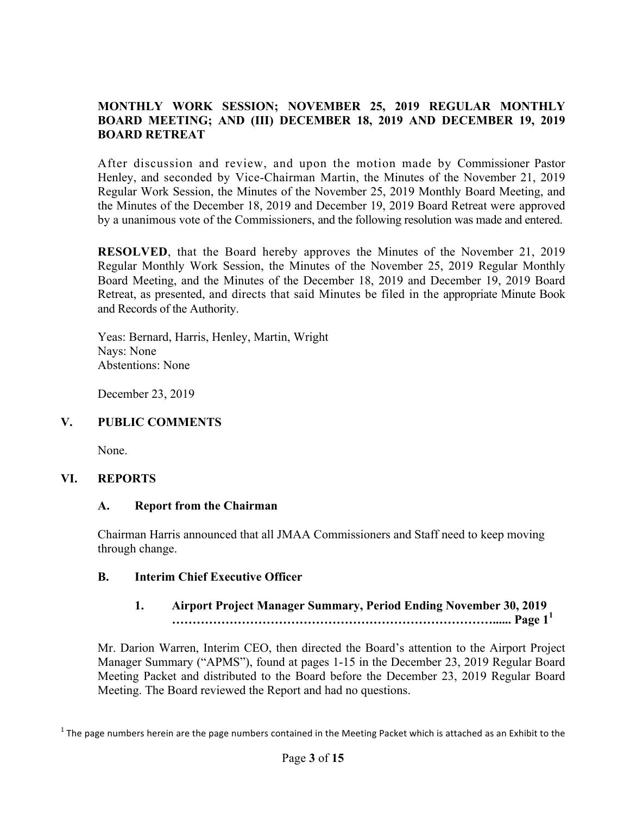# **MONTHLY WORK SESSION; NOVEMBER 25, 2019 REGULAR MONTHLY BOARD MEETING; AND (III) DECEMBER 18, 2019 AND DECEMBER 19, 2019 BOARD RETREAT**

After discussion and review, and upon the motion made by Commissioner Pastor Henley, and seconded by Vice-Chairman Martin, the Minutes of the November 21, 2019 Regular Work Session, the Minutes of the November 25, 2019 Monthly Board Meeting, and the Minutes of the December 18, 2019 and December 19, 2019 Board Retreat were approved by a unanimous vote of the Commissioners, and the following resolution was made and entered.

**RESOLVED**, that the Board hereby approves the Minutes of the November 21, 2019 Regular Monthly Work Session, the Minutes of the November 25, 2019 Regular Monthly Board Meeting, and the Minutes of the December 18, 2019 and December 19, 2019 Board Retreat, as presented, and directs that said Minutes be filed in the appropriate Minute Book and Records of the Authority.

Yeas: Bernard, Harris, Henley, Martin, Wright Nays: None Abstentions: None

December 23, 2019

## **V. PUBLIC COMMENTS**

None.

## **VI. REPORTS**

#### **A. Report from the Chairman**

Chairman Harris announced that all JMAA Commissioners and Staff need to keep moving through change.

#### **B. Interim Chief Executive Officer**

# **1. Airport Project Manager Summary, Period Ending November 30, 2019 ……………………………………………………………………...... Page 1<sup>1</sup>**

Mr. Darion Warren, Interim CEO, then directed the Board's attention to the Airport Project Manager Summary ("APMS"), found at pages 1-15 in the December 23, 2019 Regular Board Meeting Packet and distributed to the Board before the December 23, 2019 Regular Board Meeting. The Board reviewed the Report and had no questions.

 $1$  The page numbers herein are the page numbers contained in the Meeting Packet which is attached as an Exhibit to the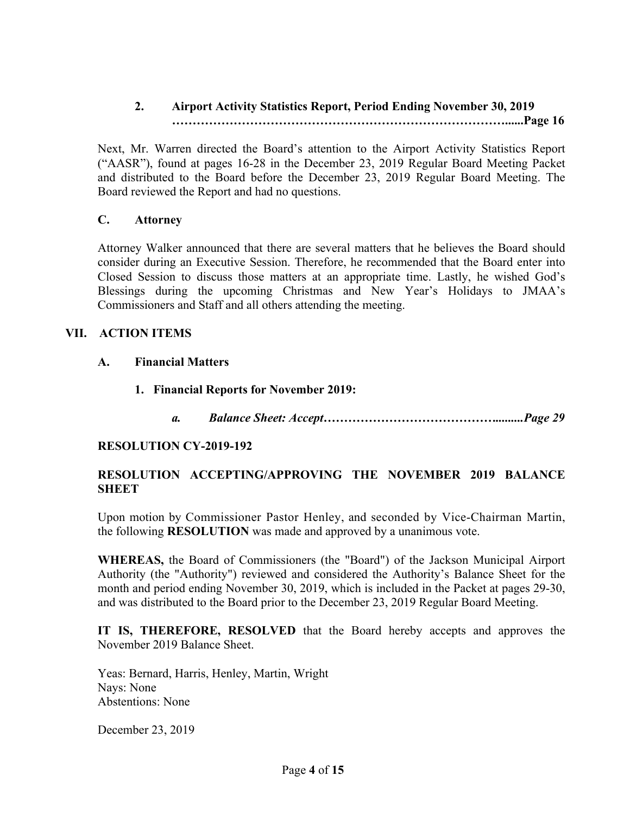# **2. Airport Activity Statistics Report, Period Ending November 30, 2019 ………………………………………………………………………......Page 16**

Next, Mr. Warren directed the Board's attention to the Airport Activity Statistics Report ("AASR"), found at pages 16-28 in the December 23, 2019 Regular Board Meeting Packet and distributed to the Board before the December 23, 2019 Regular Board Meeting. The Board reviewed the Report and had no questions.

## **C. Attorney**

Attorney Walker announced that there are several matters that he believes the Board should consider during an Executive Session. Therefore, he recommended that the Board enter into Closed Session to discuss those matters at an appropriate time. Lastly, he wished God's Blessings during the upcoming Christmas and New Year's Holidays to JMAA's Commissioners and Staff and all others attending the meeting.

# **VII. ACTION ITEMS**

- **A. Financial Matters**
	- **1. Financial Reports for November 2019:**
		- *a. Balance Sheet: Accept…………………………………….........Page 29*

## **RESOLUTION CY-2019-192**

## **RESOLUTION ACCEPTING/APPROVING THE NOVEMBER 2019 BALANCE SHEET**

Upon motion by Commissioner Pastor Henley, and seconded by Vice-Chairman Martin, the following **RESOLUTION** was made and approved by a unanimous vote.

**WHEREAS,** the Board of Commissioners (the "Board") of the Jackson Municipal Airport Authority (the "Authority") reviewed and considered the Authority's Balance Sheet for the month and period ending November 30, 2019, which is included in the Packet at pages 29-30, and was distributed to the Board prior to the December 23, 2019 Regular Board Meeting.

**IT IS, THEREFORE, RESOLVED** that the Board hereby accepts and approves the November 2019 Balance Sheet.

Yeas: Bernard, Harris, Henley, Martin, Wright Nays: None Abstentions: None

December 23, 2019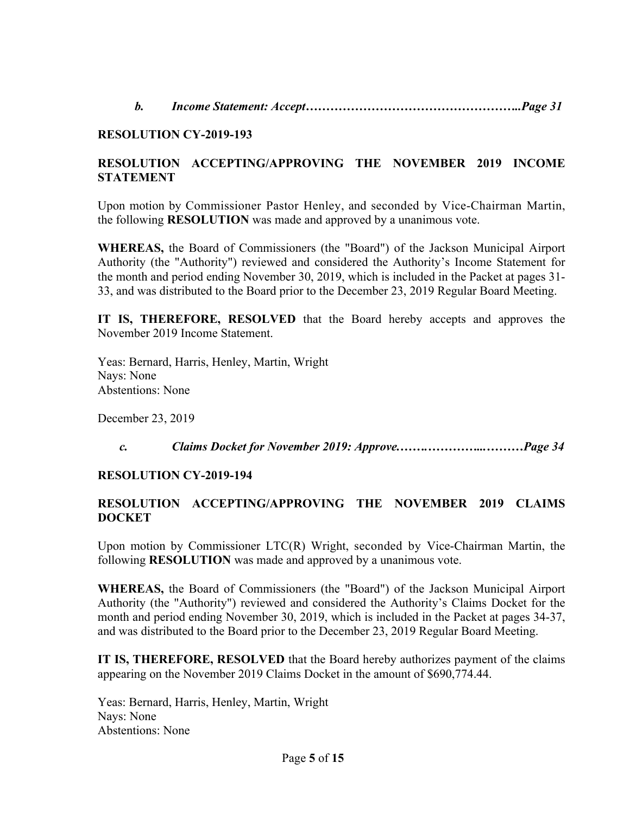*b. Income Statement: Accept……………………………………………..Page 31*

## **RESOLUTION CY-2019-193**

# **RESOLUTION ACCEPTING/APPROVING THE NOVEMBER 2019 INCOME STATEMENT**

Upon motion by Commissioner Pastor Henley, and seconded by Vice-Chairman Martin, the following **RESOLUTION** was made and approved by a unanimous vote.

**WHEREAS,** the Board of Commissioners (the "Board") of the Jackson Municipal Airport Authority (the "Authority") reviewed and considered the Authority's Income Statement for the month and period ending November 30, 2019, which is included in the Packet at pages 31- 33, and was distributed to the Board prior to the December 23, 2019 Regular Board Meeting.

**IT IS, THEREFORE, RESOLVED** that the Board hereby accepts and approves the November 2019 Income Statement.

Yeas: Bernard, Harris, Henley, Martin, Wright Nays: None Abstentions: None

December 23, 2019

*c. Claims Docket for November 2019: Approve.…….…………...………Page 34*

## **RESOLUTION CY-2019-194**

# **RESOLUTION ACCEPTING/APPROVING THE NOVEMBER 2019 CLAIMS DOCKET**

Upon motion by Commissioner LTC(R) Wright, seconded by Vice-Chairman Martin, the following **RESOLUTION** was made and approved by a unanimous vote.

**WHEREAS,** the Board of Commissioners (the "Board") of the Jackson Municipal Airport Authority (the "Authority") reviewed and considered the Authority's Claims Docket for the month and period ending November 30, 2019, which is included in the Packet at pages 34-37, and was distributed to the Board prior to the December 23, 2019 Regular Board Meeting.

**IT IS, THEREFORE, RESOLVED** that the Board hereby authorizes payment of the claims appearing on the November 2019 Claims Docket in the amount of \$690,774.44.

Yeas: Bernard, Harris, Henley, Martin, Wright Nays: None Abstentions: None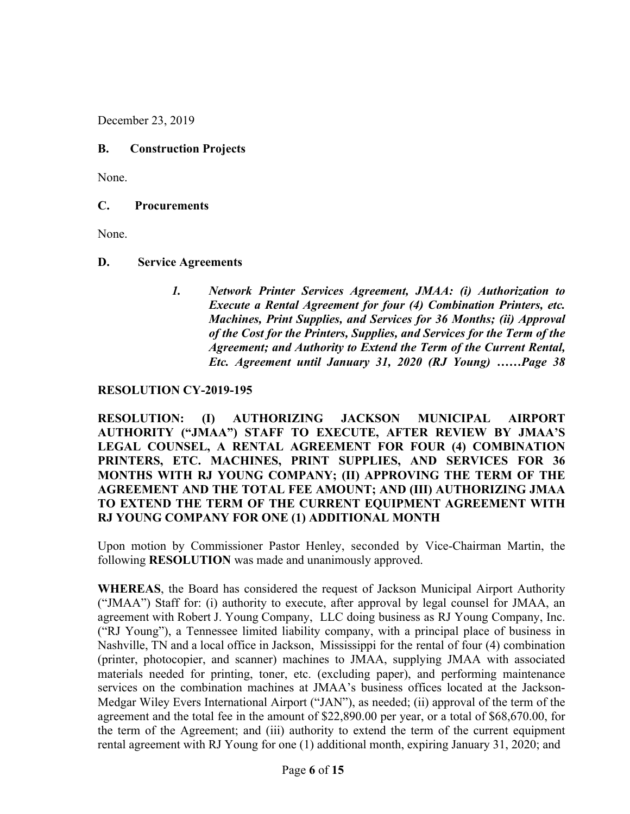December 23, 2019

## **B. Construction Projects**

None.

## **C. Procurements**

None.

## **D. Service Agreements**

*1. Network Printer Services Agreement, JMAA: (i) Authorization to Execute a Rental Agreement for four (4) Combination Printers, etc. Machines, Print Supplies, and Services for 36 Months; (ii) Approval of the Cost for the Printers, Supplies, and Services for the Term of the Agreement; and Authority to Extend the Term of the Current Rental, Etc. Agreement until January 31, 2020 (RJ Young) ……Page 38* 

# **RESOLUTION CY-2019-195**

**RESOLUTION: (I) AUTHORIZING JACKSON MUNICIPAL AIRPORT AUTHORITY ("JMAA") STAFF TO EXECUTE, AFTER REVIEW BY JMAA'S LEGAL COUNSEL, A RENTAL AGREEMENT FOR FOUR (4) COMBINATION PRINTERS, ETC. MACHINES, PRINT SUPPLIES, AND SERVICES FOR 36 MONTHS WITH RJ YOUNG COMPANY; (II) APPROVING THE TERM OF THE AGREEMENT AND THE TOTAL FEE AMOUNT; AND (III) AUTHORIZING JMAA TO EXTEND THE TERM OF THE CURRENT EQUIPMENT AGREEMENT WITH RJ YOUNG COMPANY FOR ONE (1) ADDITIONAL MONTH**

Upon motion by Commissioner Pastor Henley, seconded by Vice-Chairman Martin, the following **RESOLUTION** was made and unanimously approved.

**WHEREAS**, the Board has considered the request of Jackson Municipal Airport Authority ("JMAA") Staff for: (i) authority to execute, after approval by legal counsel for JMAA, an agreement with Robert J. Young Company, LLC doing business as RJ Young Company, Inc. ("RJ Young"), a Tennessee limited liability company, with a principal place of business in Nashville, TN and a local office in Jackson, Mississippi for the rental of four (4) combination (printer, photocopier, and scanner) machines to JMAA, supplying JMAA with associated materials needed for printing, toner, etc. (excluding paper), and performing maintenance services on the combination machines at JMAA's business offices located at the Jackson-Medgar Wiley Evers International Airport ("JAN"), as needed; (ii) approval of the term of the agreement and the total fee in the amount of \$22,890.00 per year, or a total of \$68,670.00, for the term of the Agreement; and (iii) authority to extend the term of the current equipment rental agreement with RJ Young for one (1) additional month, expiring January 31, 2020; and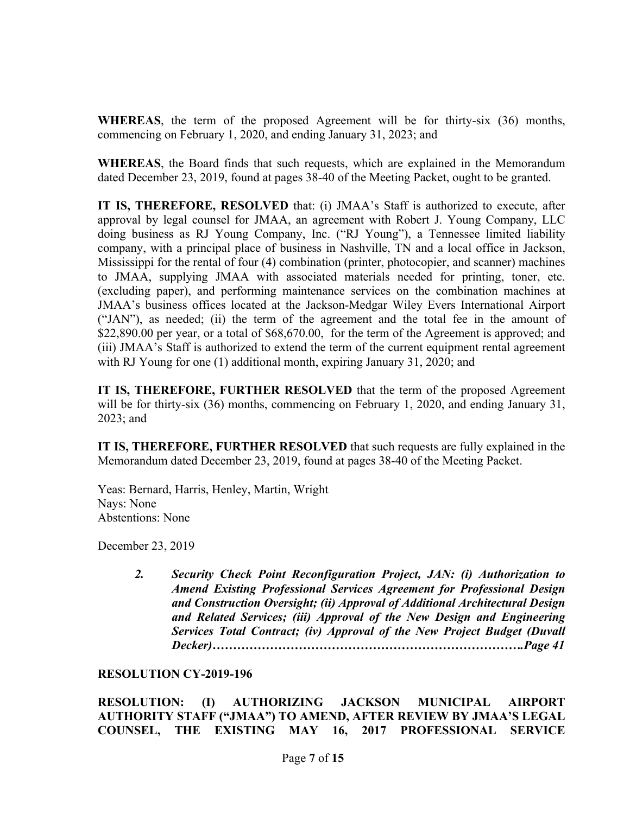**WHEREAS**, the term of the proposed Agreement will be for thirty-six (36) months, commencing on February 1, 2020, and ending January 31, 2023; and

**WHEREAS**, the Board finds that such requests, which are explained in the Memorandum dated December 23, 2019, found at pages 38-40 of the Meeting Packet, ought to be granted.

**IT IS, THEREFORE, RESOLVED** that: (i) JMAA's Staff is authorized to execute, after approval by legal counsel for JMAA, an agreement with Robert J. Young Company, LLC doing business as RJ Young Company, Inc. ("RJ Young"), a Tennessee limited liability company, with a principal place of business in Nashville, TN and a local office in Jackson, Mississippi for the rental of four (4) combination (printer, photocopier, and scanner) machines to JMAA, supplying JMAA with associated materials needed for printing, toner, etc. (excluding paper), and performing maintenance services on the combination machines at JMAA's business offices located at the Jackson-Medgar Wiley Evers International Airport ("JAN"), as needed; (ii) the term of the agreement and the total fee in the amount of \$22,890.00 per year, or a total of \$68,670.00, for the term of the Agreement is approved; and (iii) JMAA's Staff is authorized to extend the term of the current equipment rental agreement with RJ Young for one (1) additional month, expiring January 31, 2020; and

**IT IS, THEREFORE, FURTHER RESOLVED** that the term of the proposed Agreement will be for thirty-six (36) months, commencing on February 1, 2020, and ending January 31, 2023; and

**IT IS, THEREFORE, FURTHER RESOLVED** that such requests are fully explained in the Memorandum dated December 23, 2019, found at pages 38-40 of the Meeting Packet.

Yeas: Bernard, Harris, Henley, Martin, Wright Nays: None Abstentions: None

December 23, 2019

*2. Security Check Point Reconfiguration Project, JAN: (i) Authorization to Amend Existing Professional Services Agreement for Professional Design and Construction Oversight; (ii) Approval of Additional Architectural Design and Related Services; (iii) Approval of the New Design and Engineering Services Total Contract; (iv) Approval of the New Project Budget (Duvall Decker)………………………………………………………………….Page 41*

#### **RESOLUTION CY-2019-196**

**RESOLUTION: (I) AUTHORIZING JACKSON MUNICIPAL AIRPORT AUTHORITY STAFF ("JMAA") TO AMEND, AFTER REVIEW BY JMAA'S LEGAL COUNSEL, THE EXISTING MAY 16, 2017 PROFESSIONAL SERVICE**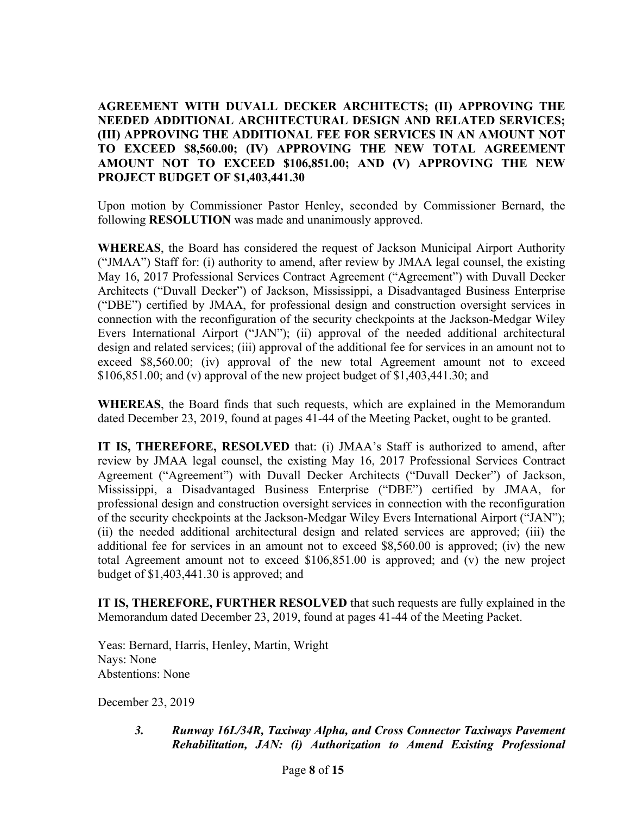**AGREEMENT WITH DUVALL DECKER ARCHITECTS; (II) APPROVING THE NEEDED ADDITIONAL ARCHITECTURAL DESIGN AND RELATED SERVICES; (III) APPROVING THE ADDITIONAL FEE FOR SERVICES IN AN AMOUNT NOT TO EXCEED \$8,560.00; (IV) APPROVING THE NEW TOTAL AGREEMENT AMOUNT NOT TO EXCEED \$106,851.00; AND (V) APPROVING THE NEW PROJECT BUDGET OF \$1,403,441.30** 

Upon motion by Commissioner Pastor Henley, seconded by Commissioner Bernard, the following **RESOLUTION** was made and unanimously approved.

**WHEREAS**, the Board has considered the request of Jackson Municipal Airport Authority ("JMAA") Staff for: (i) authority to amend, after review by JMAA legal counsel, the existing May 16, 2017 Professional Services Contract Agreement ("Agreement") with Duvall Decker Architects ("Duvall Decker") of Jackson, Mississippi, a Disadvantaged Business Enterprise ("DBE") certified by JMAA, for professional design and construction oversight services in connection with the reconfiguration of the security checkpoints at the Jackson-Medgar Wiley Evers International Airport ("JAN"); (ii) approval of the needed additional architectural design and related services; (iii) approval of the additional fee for services in an amount not to exceed \$8,560.00; (iv) approval of the new total Agreement amount not to exceed \$106,851.00; and (v) approval of the new project budget of \$1,403,441.30; and

**WHEREAS**, the Board finds that such requests, which are explained in the Memorandum dated December 23, 2019, found at pages 41-44 of the Meeting Packet, ought to be granted.

**IT IS, THEREFORE, RESOLVED** that: (i) JMAA's Staff is authorized to amend, after review by JMAA legal counsel, the existing May 16, 2017 Professional Services Contract Agreement ("Agreement") with Duvall Decker Architects ("Duvall Decker") of Jackson, Mississippi, a Disadvantaged Business Enterprise ("DBE") certified by JMAA, for professional design and construction oversight services in connection with the reconfiguration of the security checkpoints at the Jackson-Medgar Wiley Evers International Airport ("JAN"); (ii) the needed additional architectural design and related services are approved; (iii) the additional fee for services in an amount not to exceed \$8,560.00 is approved; (iv) the new total Agreement amount not to exceed \$106,851.00 is approved; and (v) the new project budget of \$1,403,441.30 is approved; and

**IT IS, THEREFORE, FURTHER RESOLVED** that such requests are fully explained in the Memorandum dated December 23, 2019, found at pages 41-44 of the Meeting Packet.

Yeas: Bernard, Harris, Henley, Martin, Wright Nays: None Abstentions: None

December 23, 2019

*3. Runway 16L/34R, Taxiway Alpha, and Cross Connector Taxiways Pavement Rehabilitation, JAN: (i) Authorization to Amend Existing Professional*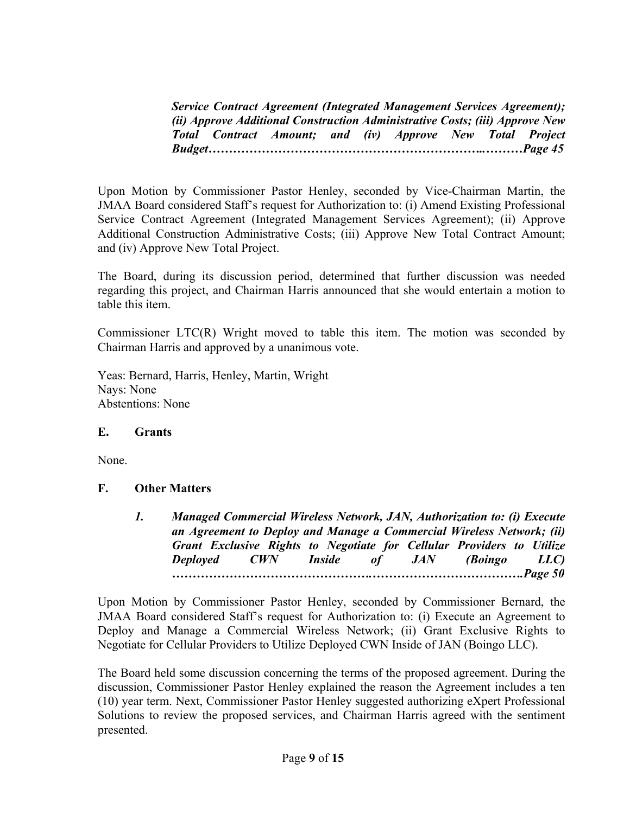*Service Contract Agreement (Integrated Management Services Agreement); (ii) Approve Additional Construction Administrative Costs; (iii) Approve New Total Contract Amount; and (iv) Approve New Total Project Budget…………………………………………………………..………Page 45*

Upon Motion by Commissioner Pastor Henley, seconded by Vice-Chairman Martin, the JMAA Board considered Staff's request for Authorization to: (i) Amend Existing Professional Service Contract Agreement (Integrated Management Services Agreement); (ii) Approve Additional Construction Administrative Costs; (iii) Approve New Total Contract Amount; and (iv) Approve New Total Project.

The Board, during its discussion period, determined that further discussion was needed regarding this project, and Chairman Harris announced that she would entertain a motion to table this item.

Commissioner LTC(R) Wright moved to table this item. The motion was seconded by Chairman Harris and approved by a unanimous vote.

Yeas: Bernard, Harris, Henley, Martin, Wright Nays: None Abstentions: None

## **E. Grants**

None.

## **F. Other Matters**

*1. Managed Commercial Wireless Network, JAN, Authorization to: (i) Execute an Agreement to Deploy and Manage a Commercial Wireless Network; (ii) Grant Exclusive Rights to Negotiate for Cellular Providers to Utilize Deployed CWN Inside of JAN (Boingo LLC) ………………………………………….……………………………….Page 50*

Upon Motion by Commissioner Pastor Henley, seconded by Commissioner Bernard, the JMAA Board considered Staff's request for Authorization to: (i) Execute an Agreement to Deploy and Manage a Commercial Wireless Network; (ii) Grant Exclusive Rights to Negotiate for Cellular Providers to Utilize Deployed CWN Inside of JAN (Boingo LLC).

The Board held some discussion concerning the terms of the proposed agreement. During the discussion, Commissioner Pastor Henley explained the reason the Agreement includes a ten (10) year term. Next, Commissioner Pastor Henley suggested authorizing eXpert Professional Solutions to review the proposed services, and Chairman Harris agreed with the sentiment presented.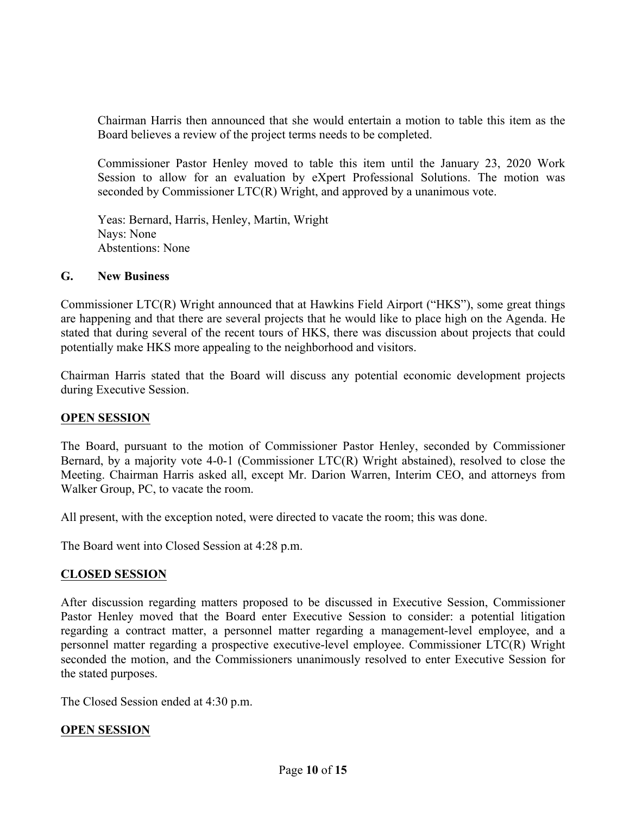Chairman Harris then announced that she would entertain a motion to table this item as the Board believes a review of the project terms needs to be completed.

Commissioner Pastor Henley moved to table this item until the January 23, 2020 Work Session to allow for an evaluation by eXpert Professional Solutions. The motion was seconded by Commissioner LTC(R) Wright, and approved by a unanimous vote.

Yeas: Bernard, Harris, Henley, Martin, Wright Nays: None Abstentions: None

#### **G. New Business**

Commissioner LTC(R) Wright announced that at Hawkins Field Airport ("HKS"), some great things are happening and that there are several projects that he would like to place high on the Agenda. He stated that during several of the recent tours of HKS, there was discussion about projects that could potentially make HKS more appealing to the neighborhood and visitors.

Chairman Harris stated that the Board will discuss any potential economic development projects during Executive Session.

## **OPEN SESSION**

The Board, pursuant to the motion of Commissioner Pastor Henley, seconded by Commissioner Bernard, by a majority vote 4-0-1 (Commissioner LTC(R) Wright abstained), resolved to close the Meeting. Chairman Harris asked all, except Mr. Darion Warren, Interim CEO, and attorneys from Walker Group, PC, to vacate the room.

All present, with the exception noted, were directed to vacate the room; this was done.

The Board went into Closed Session at 4:28 p.m.

## **CLOSED SESSION**

After discussion regarding matters proposed to be discussed in Executive Session, Commissioner Pastor Henley moved that the Board enter Executive Session to consider: a potential litigation regarding a contract matter, a personnel matter regarding a management-level employee, and a personnel matter regarding a prospective executive-level employee. Commissioner LTC(R) Wright seconded the motion, and the Commissioners unanimously resolved to enter Executive Session for the stated purposes.

The Closed Session ended at 4:30 p.m.

## **OPEN SESSION**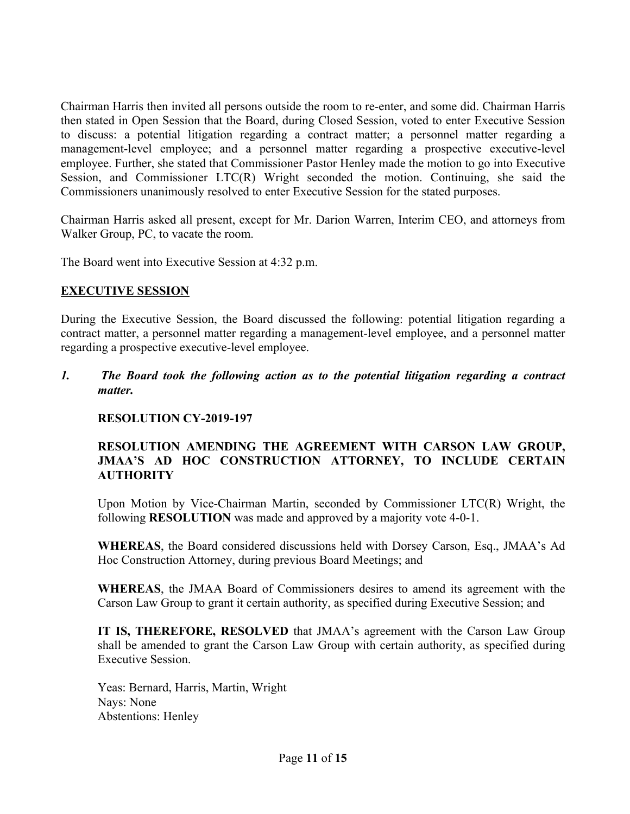Chairman Harris then invited all persons outside the room to re-enter, and some did. Chairman Harris then stated in Open Session that the Board, during Closed Session, voted to enter Executive Session to discuss: a potential litigation regarding a contract matter; a personnel matter regarding a management-level employee; and a personnel matter regarding a prospective executive-level employee. Further, she stated that Commissioner Pastor Henley made the motion to go into Executive Session, and Commissioner LTC(R) Wright seconded the motion. Continuing, she said the Commissioners unanimously resolved to enter Executive Session for the stated purposes.

Chairman Harris asked all present, except for Mr. Darion Warren, Interim CEO, and attorneys from Walker Group, PC, to vacate the room.

The Board went into Executive Session at 4:32 p.m.

#### **EXECUTIVE SESSION**

During the Executive Session, the Board discussed the following: potential litigation regarding a contract matter, a personnel matter regarding a management-level employee, and a personnel matter regarding a prospective executive-level employee.

*1. The Board took the following action as to the potential litigation regarding a contract matter.*

## **RESOLUTION CY-2019-197**

#### **RESOLUTION AMENDING THE AGREEMENT WITH CARSON LAW GROUP, JMAA'S AD HOC CONSTRUCTION ATTORNEY, TO INCLUDE CERTAIN AUTHORITY**

Upon Motion by Vice-Chairman Martin, seconded by Commissioner LTC(R) Wright, the following **RESOLUTION** was made and approved by a majority vote 4-0-1.

**WHEREAS**, the Board considered discussions held with Dorsey Carson, Esq., JMAA's Ad Hoc Construction Attorney, during previous Board Meetings; and

**WHEREAS**, the JMAA Board of Commissioners desires to amend its agreement with the Carson Law Group to grant it certain authority, as specified during Executive Session; and

**IT IS, THEREFORE, RESOLVED** that JMAA's agreement with the Carson Law Group shall be amended to grant the Carson Law Group with certain authority, as specified during Executive Session.

Yeas: Bernard, Harris, Martin, Wright Nays: None Abstentions: Henley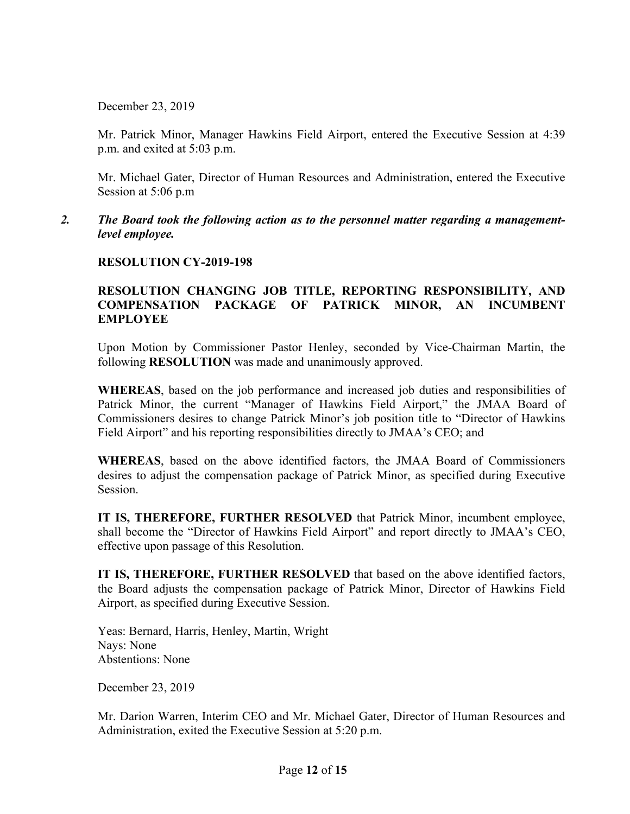December 23, 2019

Mr. Patrick Minor, Manager Hawkins Field Airport, entered the Executive Session at 4:39 p.m. and exited at 5:03 p.m.

Mr. Michael Gater, Director of Human Resources and Administration, entered the Executive Session at 5:06 p.m

*2. The Board took the following action as to the personnel matter regarding a managementlevel employee.*

#### **RESOLUTION CY-2019-198**

## **RESOLUTION CHANGING JOB TITLE, REPORTING RESPONSIBILITY, AND COMPENSATION PACKAGE OF PATRICK MINOR, AN INCUMBENT EMPLOYEE**

Upon Motion by Commissioner Pastor Henley, seconded by Vice-Chairman Martin, the following **RESOLUTION** was made and unanimously approved.

**WHEREAS**, based on the job performance and increased job duties and responsibilities of Patrick Minor, the current "Manager of Hawkins Field Airport," the JMAA Board of Commissioners desires to change Patrick Minor's job position title to "Director of Hawkins Field Airport" and his reporting responsibilities directly to JMAA's CEO; and

**WHEREAS**, based on the above identified factors, the JMAA Board of Commissioners desires to adjust the compensation package of Patrick Minor, as specified during Executive Session.

**IT IS, THEREFORE, FURTHER RESOLVED** that Patrick Minor, incumbent employee, shall become the "Director of Hawkins Field Airport" and report directly to JMAA's CEO, effective upon passage of this Resolution.

**IT IS, THEREFORE, FURTHER RESOLVED** that based on the above identified factors, the Board adjusts the compensation package of Patrick Minor, Director of Hawkins Field Airport, as specified during Executive Session.

Yeas: Bernard, Harris, Henley, Martin, Wright Nays: None Abstentions: None

December 23, 2019

Mr. Darion Warren, Interim CEO and Mr. Michael Gater, Director of Human Resources and Administration, exited the Executive Session at 5:20 p.m.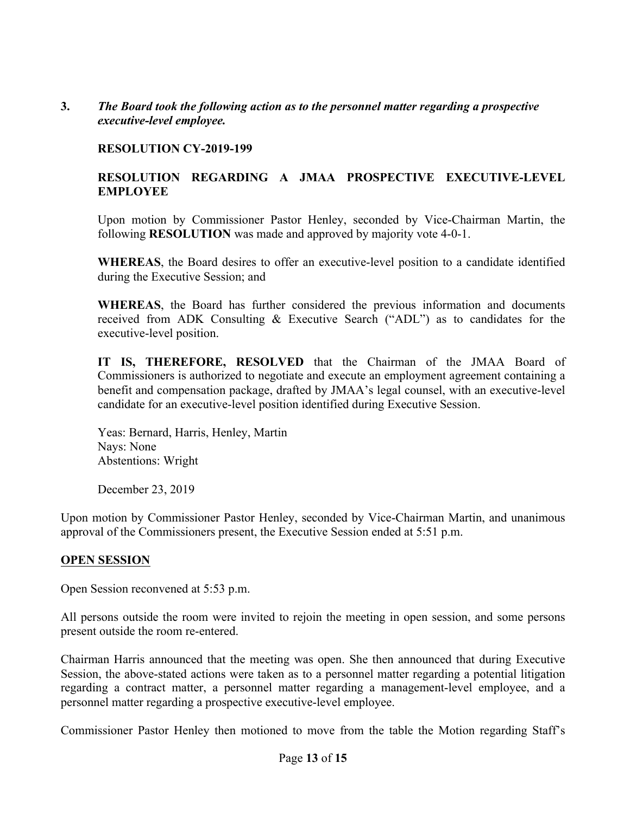**3.** *The Board took the following action as to the personnel matter regarding a prospective executive-level employee.*

#### **RESOLUTION CY-2019-199**

## **RESOLUTION REGARDING A JMAA PROSPECTIVE EXECUTIVE-LEVEL EMPLOYEE**

Upon motion by Commissioner Pastor Henley, seconded by Vice-Chairman Martin, the following **RESOLUTION** was made and approved by majority vote 4-0-1.

**WHEREAS**, the Board desires to offer an executive-level position to a candidate identified during the Executive Session; and

**WHEREAS**, the Board has further considered the previous information and documents received from ADK Consulting & Executive Search ("ADL") as to candidates for the executive-level position.

**IT IS, THEREFORE, RESOLVED** that the Chairman of the JMAA Board of Commissioners is authorized to negotiate and execute an employment agreement containing a benefit and compensation package, drafted by JMAA's legal counsel, with an executive-level candidate for an executive-level position identified during Executive Session.

Yeas: Bernard, Harris, Henley, Martin Nays: None Abstentions: Wright

December 23, 2019

Upon motion by Commissioner Pastor Henley, seconded by Vice-Chairman Martin, and unanimous approval of the Commissioners present, the Executive Session ended at 5:51 p.m.

#### **OPEN SESSION**

Open Session reconvened at 5:53 p.m.

All persons outside the room were invited to rejoin the meeting in open session, and some persons present outside the room re-entered.

Chairman Harris announced that the meeting was open. She then announced that during Executive Session, the above-stated actions were taken as to a personnel matter regarding a potential litigation regarding a contract matter, a personnel matter regarding a management-level employee, and a personnel matter regarding a prospective executive-level employee.

Commissioner Pastor Henley then motioned to move from the table the Motion regarding Staff's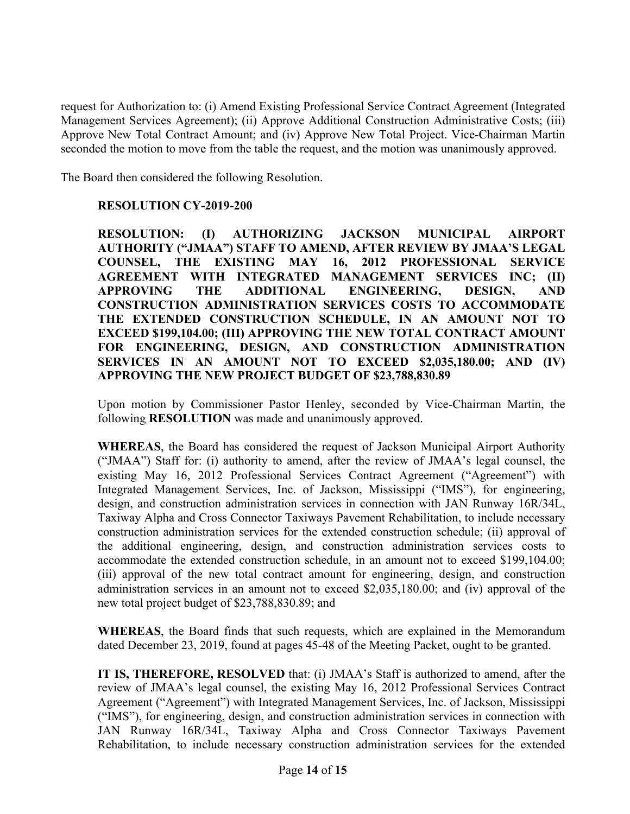request for Authorization to: (i) Amend Existing Professional Service Contract Agreement (Integrated Management Services Agreement); (ii) Approve Additional Construction Administrative Costs; (iii) Approve New Total Contract Amount; and (iv) Approve New Total Project. Vice-Chairman Martin seconded the motion to move from the table the request, and the motion was unanimously approved.

The Board then considered the following Resolution.

## **RESOLUTION CY-2019-200**

**RESOLUTION: (I) AUTHORIZING JACKSON MUNICIPAL AIRPORT AUTHORITY ("JMAA") STAFF TO AMEND, AFTER REVIEW BY JMAA'S LEGAL COUNSEL, THE EXISTING MAY 16, 2012 PROFESSIONAL SERVICE AGREEMENT WITH INTEGRATED MANAGEMENT SERVICES INC; (II) APPROVING THE ADDITIONAL ENGINEERING, DESIGN, AND CONSTRUCTION ADMINISTRATION SERVICES COSTS TO ACCOMMODATE THE EXTENDED CONSTRUCTION SCHEDULE, IN AN AMOUNT NOT TO EXCEED \$199,104.00; (III) APPROVING THE NEW TOTAL CONTRACT AMOUNT FOR ENGINEERING, DESIGN, AND CONSTRUCTION ADMINISTRATION SERVICES IN AN AMOUNT NOT TO EXCEED \$2,035,180.00; AND (IV) APPROVING THE NEW PROJECT BUDGET OF \$23,788,830.89** 

Upon motion by Commissioner Pastor Henley, seconded by Vice-Chairman Martin, the following **RESOLUTION** was made and unanimously approved.

**WHEREAS**, the Board has considered the request of Jackson Municipal Airport Authority ("JMAA") Staff for: (i) authority to amend, after the review of JMAA's legal counsel, the existing May 16, 2012 Professional Services Contract Agreement ("Agreement") with Integrated Management Services, Inc. of Jackson, Mississippi ("IMS"), for engineering, design, and construction administration services in connection with JAN Runway 16R/34L, Taxiway Alpha and Cross Connector Taxiways Pavement Rehabilitation, to include necessary construction administration services for the extended construction schedule; (ii) approval of the additional engineering, design, and construction administration services costs to accommodate the extended construction schedule, in an amount not to exceed \$199,104.00; (iii) approval of the new total contract amount for engineering, design, and construction administration services in an amount not to exceed \$2,035,180.00; and (iv) approval of the new total project budget of \$23,788,830.89; and

**WHEREAS**, the Board finds that such requests, which are explained in the Memorandum dated December 23, 2019, found at pages 45-48 of the Meeting Packet, ought to be granted.

**IT IS, THEREFORE, RESOLVED** that: (i) JMAA's Staff is authorized to amend, after the review of JMAA's legal counsel, the existing May 16, 2012 Professional Services Contract Agreement ("Agreement") with Integrated Management Services, Inc. of Jackson, Mississippi ("IMS"), for engineering, design, and construction administration services in connection with JAN Runway 16R/34L, Taxiway Alpha and Cross Connector Taxiways Pavement Rehabilitation, to include necessary construction administration services for the extended